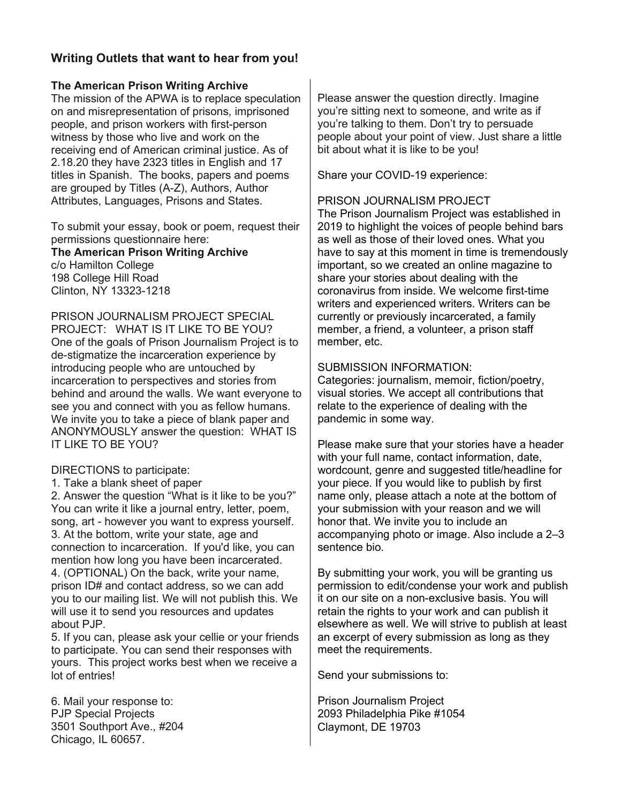# **Writing Outlets that want to hear from you!**

# **The American Prison Writing Archive**

The mission of the APWA is to replace speculation on and misrepresentation of prisons, imprisoned people, and prison workers with first-person witness by those who live and work on the receiving end of American criminal justice. As of 2.18.20 they have 2323 titles in English and 17 titles in Spanish. The books, papers and poems are grouped by Titles (A-Z), Authors, Author Attributes, Languages, Prisons and States.

To submit your essay, book or poem, request their permissions questionnaire here:

#### **The American Prison Writing Archive** c/o Hamilton College

198 College Hill Road Clinton, NY 13323-1218

PRISON JOURNALISM PROJECT SPECIAL PROJECT: WHAT IS IT LIKE TO BE YOU? One of the goals of Prison Journalism Project is to de-stigmatize the incarceration experience by introducing people who are untouched by incarceration to perspectives and stories from behind and around the walls. We want everyone to see you and connect with you as fellow humans. We invite you to take a piece of blank paper and ANONYMOUSLY answer the question: WHAT IS IT LIKE TO BE YOU?

DIRECTIONS to participate:

1. Take a blank sheet of paper

2. Answer the question "What is it like to be you?" You can write it like a journal entry, letter, poem, song, art - however you want to express yourself. 3. At the bottom, write your state, age and connection to incarceration. If you'd like, you can mention how long you have been incarcerated. 4. (OPTIONAL) On the back, write your name, prison ID# and contact address, so we can add you to our mailing list. We will not publish this. We will use it to send you resources and updates about PJP.

5. If you can, please ask your cellie or your friends to participate. You can send their responses with yours. This project works best when we receive a lot of entries!

6. Mail your response to: PJP Special Projects 3501 Southport Ave., #204 Chicago, IL 60657.

Please answer the question directly. Imagine you're sitting next to someone, and write as if you're talking to them. Don't try to persuade people about your point of view. Just share a little bit about what it is like to be you!

Share your COVID-19 experience:

### PRISON JOURNALISM PROJECT

The Prison Journalism Project was established in 2019 to highlight the voices of people behind bars as well as those of their loved ones. What you have to say at this moment in time is tremendously important, so we created an online magazine to share your stories about dealing with the coronavirus from inside. We welcome first-time writers and experienced writers. Writers can be currently or previously incarcerated, a family member, a friend, a volunteer, a prison staff member, etc.

### SUBMISSION INFORMATION:

Categories: journalism, memoir, fiction/poetry, visual stories. We accept all contributions that relate to the experience of dealing with the pandemic in some way.

Please make sure that your stories have a header with your full name, contact information, date, wordcount, genre and suggested title/headline for your piece. If you would like to publish by first name only, please attach a note at the bottom of your submission with your reason and we will honor that. We invite you to include an accompanying photo or image. Also include a 2–3 sentence bio.

By submitting your work, you will be granting us permission to edit/condense your work and publish it on our site on a non-exclusive basis. You will retain the rights to your work and can publish it elsewhere as well. We will strive to publish at least an excerpt of every submission as long as they meet the requirements.

Send your submissions to:

Prison Journalism Project 2093 Philadelphia Pike #1054 Claymont, DE 19703